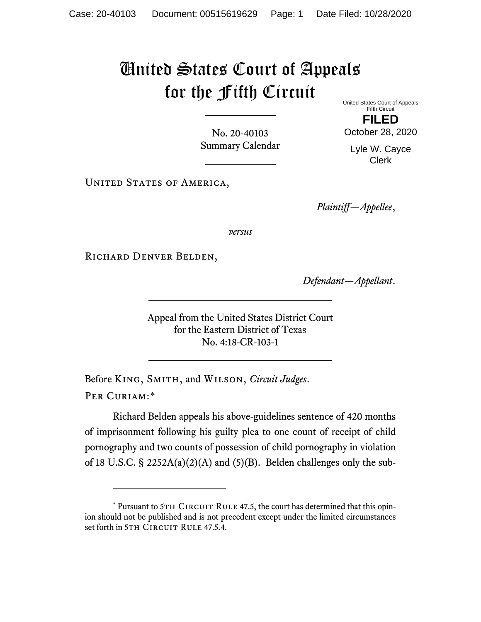## United States Court of Appeals for the Fifth Circuit

No. 20-40103 Summary Calendar United States Court of Appeals Fifth Circuit

**FILED** October 28, 2020

Lyle W. Cayce Clerk

UNITED STATES OF AMERICA,

*Plaintiff—Appellee*,

*versus*

RICHARD DENVER BELDEN,

*Defendant—Appellant*.

Appeal from the United States District Court for the Eastern District of Texas No. 4:18-CR-103-1

Before King, Smith, and Wilson, *Circuit Judges*. Per Curiam:[\\*](#page-0-0)

Richard Belden appeals his above-guidelines sentence of 420 months of imprisonment following his guilty plea to one count of receipt of child pornography and two counts of possession of child pornography in violation of 18 U.S.C.  $\S$  2252A(a)(2)(A) and (5)(B). Belden challenges only the sub-

<span id="page-0-0"></span><sup>\*</sup> Pursuant to 5TH CIRCUIT RULE 47.5, the court has determined that this opinion should not be published and is not precedent except under the limited circumstances set forth in 5TH CIRCUIT RULE 47.5.4.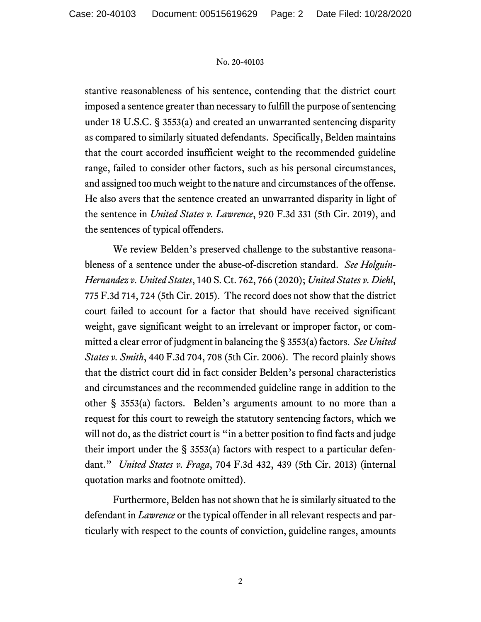## No. 20-40103

stantive reasonableness of his sentence, contending that the district court imposed a sentence greater than necessary to fulfill the purpose of sentencing under 18 U.S.C. § 3553(a) and created an unwarranted sentencing disparity as compared to similarly situated defendants. Specifically, Belden maintains that the court accorded insufficient weight to the recommended guideline range, failed to consider other factors, such as his personal circumstances, and assigned too much weight to the nature and circumstances of the offense. He also avers that the sentence created an unwarranted disparity in light of the sentence in *United States v. Lawrence*, 920 F.3d 331 (5th Cir. 2019), and the sentences of typical offenders.

We review Belden's preserved challenge to the substantive reasonableness of a sentence under the abuse-of-discretion standard. *See Holguin-Hernandez v. United States*, 140 S. Ct. 762, 766 (2020); *United States v. Diehl*, 775 F.3d 714, 724 (5th Cir. 2015). The record does not show that the district court failed to account for a factor that should have received significant weight, gave significant weight to an irrelevant or improper factor, or committed a clear error of judgment in balancing the § 3553(a) factors. *See United States v. Smith*, 440 F.3d 704, 708 (5th Cir. 2006). The record plainly shows that the district court did in fact consider Belden's personal characteristics and circumstances and the recommended guideline range in addition to the other § 3553(a) factors. Belden's arguments amount to no more than a request for this court to reweigh the statutory sentencing factors, which we will not do, as the district court is "in a better position to find facts and judge their import under the § 3553(a) factors with respect to a particular defendant." *United States v. Fraga*, 704 F.3d 432, 439 (5th Cir. 2013) (internal quotation marks and footnote omitted).

Furthermore, Belden has not shown that he is similarly situated to the defendant in *Lawrence* or the typical offender in all relevant respects and particularly with respect to the counts of conviction, guideline ranges, amounts